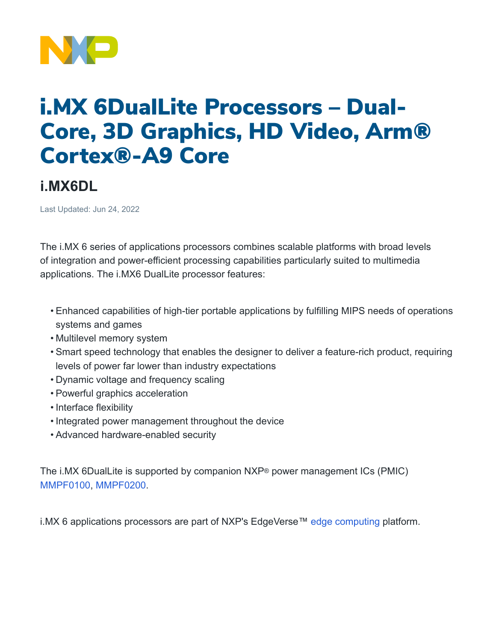

## i.MX 6DualLite Processors – Dual-Core, 3D Graphics, HD Video, Arm® Cortex®-A9 Core

## **i.MX6DL**

Last Updated: Jun 24, 2022

The i.MX 6 series of applications processors combines scalable platforms with broad levels of integration and power-efficient processing capabilities particularly suited to multimedia applications. The i.MX6 DualLite processor features:

- Enhanced capabilities of high-tier portable applications by fulfilling MIPS needs of operations systems and games
- Multilevel memory system
- Smart speed technology that enables the designer to deliver a feature-rich product, requiring levels of power far lower than industry expectations
- Dynamic voltage and frequency scaling
- Powerful graphics acceleration
- Interface flexibility
- Integrated power management throughout the device
- Advanced hardware-enabled security

The i.MX 6DualLite is supported by companion NXP® power management ICs (PMIC) [MMPF0100,](https://www.nxp.com/products/power-management/pmics-and-sbcs/pmics/14-channel-configurable-pmic:MMPF0100) [MMPF0200](https://www.nxp.com/products/power-management/pmics-and-sbcs/pmics/12-channel-configurable-pmic:MMPF0200).

i.MX 6 applications processors are part of NXP's EdgeVerse™ [edge computing](https://www.nxp.com/applications/enabling-technologies/edge-computing:EDGE-COMPUTING) platform.